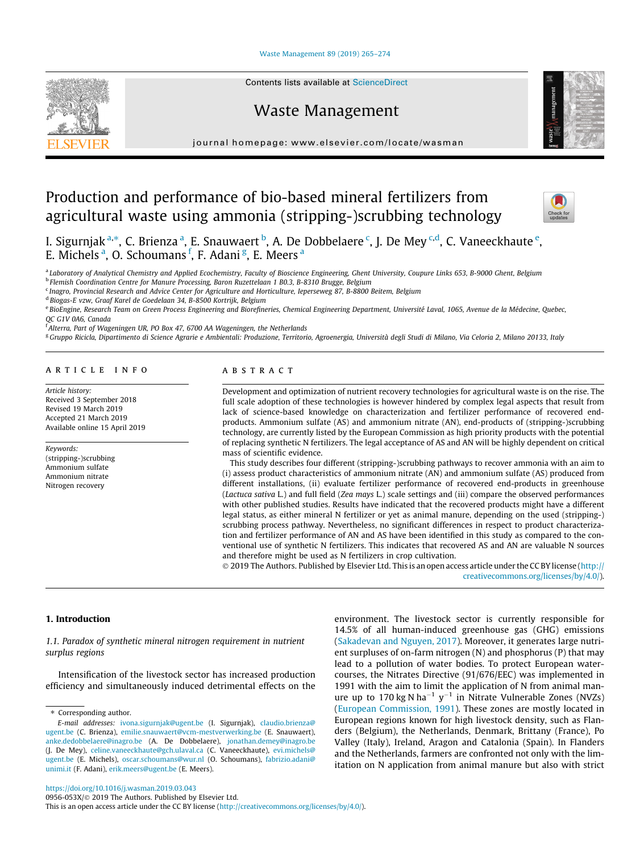# [Waste Management 89 \(2019\) 265–274](https://doi.org/10.1016/j.wasman.2019.03.043)



# Waste Management



journal homepage: [www.elsevier.com/locate/wasman](http://www.elsevier.com/locate/wasman)

# Production and performance of bio-based mineral fertilizers from agricultural waste using ammonia (stripping-)scrubbing technology



I. Sigurnjak <sup>a,</sup>\*, C. Brienza <sup>a</sup>, E. Snauwaert <sup>b</sup>, A. De Dobbelaere <sup>c</sup>, J. De Mey <sup>c,d</sup>, C. Vaneeckhaute <sup>e</sup>, E. Michels<sup>a</sup>, O. Schoumans<sup>f</sup>, F. Adani<sup>g</sup>, E. Meers<sup>a</sup>

<sup>a</sup> Laboratory of Analytical Chemistry and Applied Ecochemistry, Faculty of Bioscience Engineering, Ghent University, Coupure Links 653, B-9000 Ghent, Belgium

<sup>b</sup> Flemish Coordination Centre for Manure Processing, Baron Ruzettelaan 1 B0.3, B-8310 Brugge, Belgium

<sup>c</sup> Inagro, Provincial Research and Advice Center for Agriculture and Horticulture, Ieperseweg 87, B-8800 Beitem, Belgium

<sup>d</sup> Biogas-E vzw, Graaf Karel de Goedelaan 34, B-8500 Kortrijk, Belgium

e BioEngine, Research Team on Green Process Engineering and Biorefineries, Chemical Engineering Department, Université Laval, 1065, Avenue de la Médecine, Quebec, QC G1V 0A6, Canada

<sup>f</sup> Alterra, Part of Wageningen UR, PO Box 47, 6700 AA Wageningen, the Netherlands

<sup>g</sup> Gruppo Ricicla, Dipartimento di Science Agrarie e Ambientali: Produzione, Territorio, Agroenergia, Università degli Studi di Milano, Via Celoria 2, Milano 20133, Italy

# article info

Article history: Received 3 September 2018 Revised 19 March 2019 Accepted 21 March 2019 Available online 15 April 2019

Keywords: (stripping-)scrubbing Ammonium sulfate Ammonium nitrate Nitrogen recovery

# **ABSTRACT**

Development and optimization of nutrient recovery technologies for agricultural waste is on the rise. The full scale adoption of these technologies is however hindered by complex legal aspects that result from lack of science-based knowledge on characterization and fertilizer performance of recovered endproducts. Ammonium sulfate (AS) and ammonium nitrate (AN), end-products of (stripping-)scrubbing technology, are currently listed by the European Commission as high priority products with the potential of replacing synthetic N fertilizers. The legal acceptance of AS and AN will be highly dependent on critical mass of scientific evidence.

This study describes four different (stripping-)scrubbing pathways to recover ammonia with an aim to (i) assess product characteristics of ammonium nitrate (AN) and ammonium sulfate (AS) produced from different installations, (ii) evaluate fertilizer performance of recovered end-products in greenhouse (Lactuca sativa L.) and full field (Zea mays L.) scale settings and (iii) compare the observed performances with other published studies. Results have indicated that the recovered products might have a different legal status, as either mineral N fertilizer or yet as animal manure, depending on the used (stripping-) scrubbing process pathway. Nevertheless, no significant differences in respect to product characterization and fertilizer performance of AN and AS have been identified in this study as compared to the conventional use of synthetic N fertilizers. This indicates that recovered AS and AN are valuable N sources and therefore might be used as N fertilizers in crop cultivation.

 2019 The Authors. Published by Elsevier Ltd. This is an open access article under the CC BY license ([http://](http://creativecommons.org/licenses/by/4.0/) [creativecommons.org/licenses/by/4.0/](http://creativecommons.org/licenses/by/4.0/)).

### 1. Introduction

1.1. Paradox of synthetic mineral nitrogen requirement in nutrient surplus regions

Intensification of the livestock sector has increased production efficiency and simultaneously induced detrimental effects on the

⇑ Corresponding author.

environment. The livestock sector is currently responsible for 14.5% of all human-induced greenhouse gas (GHG) emissions ([Sakadevan and Nguyen, 2017](#page-9-0)). Moreover, it generates large nutrient surpluses of on-farm nitrogen (N) and phosphorus (P) that may lead to a pollution of water bodies. To protect European watercourses, the Nitrates Directive (91/676/EEC) was implemented in 1991 with the aim to limit the application of N from animal manure up to 170 kg N ha<sup>-1</sup> y<sup>-1</sup> in Nitrate Vulnerable Zones (NVZs) ([European Commission, 1991\)](#page-8-0). These zones are mostly located in European regions known for high livestock density, such as Flanders (Belgium), the Netherlands, Denmark, Brittany (France), Po Valley (Italy), Ireland, Aragon and Catalonia (Spain). In Flanders and the Netherlands, farmers are confronted not only with the limitation on N application from animal manure but also with strict

E-mail addresses: [ivona.sigurnjak@ugent.be](mailto:ivona.sigurnjak@ugent.be) (I. Sigurnjak), [claudio.brienza@](mailto:claudio.brienza@ugent.be) [ugent.be](mailto:claudio.brienza@ugent.be) (C. Brienza), [emilie.snauwaert@vcm-mestverwerking.be](mailto:emilie.snauwaert@vcm-mestverwerking.be) (E. Snauwaert), [anke.dedobbelaere@inagro.be](mailto:anke.dedobbelaere@inagro.be) (A. De Dobbelaere), [jonathan.demey@inagro.be](mailto:jonathan.demey@inagro.be) (J. De Mey), [celine.vaneeckhaute@gch.ulaval.ca](mailto:celine.vaneeckhaute@gch.ulaval.ca) (C. Vaneeckhaute), [evi.michels@](mailto:evi.michels@ugent.be) [ugent.be](mailto:evi.michels@ugent.be) (E. Michels), [oscar.schoumans@wur.nl](mailto:oscar.schoumans@wur.nl) (O. Schoumans), [fabrizio.adani@](mailto:fabrizio.adani@unimi.it) [unimi.it](mailto:fabrizio.adani@unimi.it) (F. Adani), [erik.meers@ugent.be](mailto:erik.meers@ugent.be) (E. Meers).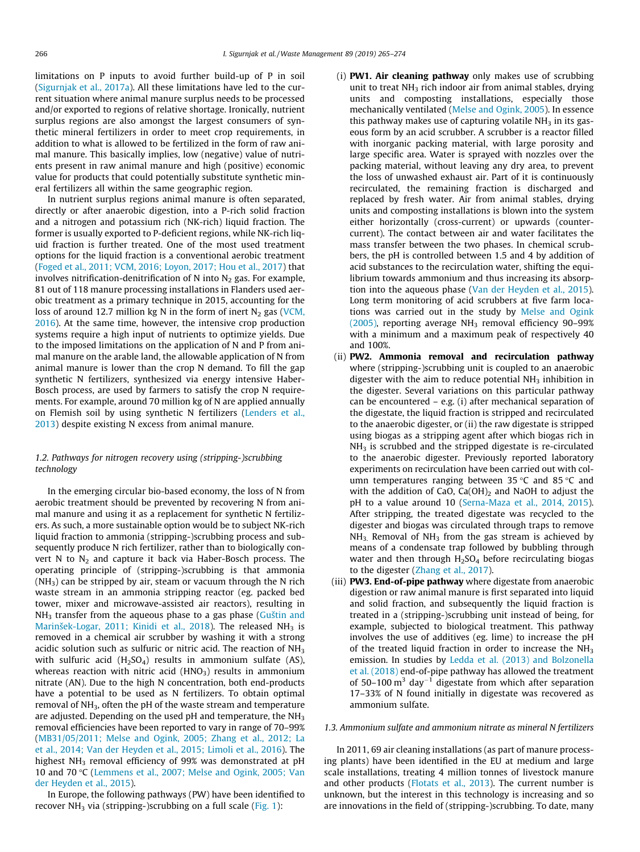limitations on P inputs to avoid further build-up of P in soil ([Sigurnjak et al., 2017a\)](#page-9-0). All these limitations have led to the current situation where animal manure surplus needs to be processed and/or exported to regions of relative shortage. Ironically, nutrient surplus regions are also amongst the largest consumers of synthetic mineral fertilizers in order to meet crop requirements, in addition to what is allowed to be fertilized in the form of raw animal manure. This basically implies, low (negative) value of nutrients present in raw animal manure and high (positive) economic value for products that could potentially substitute synthetic mineral fertilizers all within the same geographic region.

In nutrient surplus regions animal manure is often separated, directly or after anaerobic digestion, into a P-rich solid fraction and a nitrogen and potassium rich (NK-rich) liquid fraction. The former is usually exported to P-deficient regions, while NK-rich liquid fraction is further treated. One of the most used treatment options for the liquid fraction is a conventional aerobic treatment ([Foged et al., 2011; VCM, 2016; Loyon, 2017; Hou et al., 2017](#page-8-0)) that involves nitrification-denitrification of N into  $N<sub>2</sub>$  gas. For example, 81 out of 118 manure processing installations in Flanders used aerobic treatment as a primary technique in 2015, accounting for the loss of around 12.7 million kg N in the form of inert  $N_2$  gas ([VCM,](#page-9-0) [2016\)](#page-9-0). At the same time, however, the intensive crop production systems require a high input of nutrients to optimize yields. Due to the imposed limitations on the application of N and P from animal manure on the arable land, the allowable application of N from animal manure is lower than the crop N demand. To fill the gap synthetic N fertilizers, synthesized via energy intensive Haber-Bosch process, are used by farmers to satisfy the crop N requirements. For example, around 70 million kg of N are applied annually on Flemish soil by using synthetic N fertilizers [\(Lenders et al.,](#page-9-0) [2013\)](#page-9-0) despite existing N excess from animal manure.

# 1.2. Pathways for nitrogen recovery using (stripping-)scrubbing technology

In the emerging circular bio-based economy, the loss of N from aerobic treatment should be prevented by recovering N from animal manure and using it as a replacement for synthetic N fertilizers. As such, a more sustainable option would be to subject NK-rich liquid fraction to ammonia (stripping-)scrubbing process and subsequently produce N rich fertilizer, rather than to biologically convert N to  $N_2$  and capture it back via Haber-Bosch process. The operating principle of (stripping-)scrubbing is that ammonia  $(NH<sub>3</sub>)$  can be stripped by air, steam or vacuum through the N rich waste stream in an ammonia stripping reactor (eg. packed bed tower, mixer and microwave-assisted air reactors), resulting in  $NH<sub>3</sub>$  transfer from the aqueous phase to a gas phase ([Guštin and](#page-9-0) [Marinšek-Logar, 2011; Kinidi et al., 2018](#page-9-0)). The released NH<sub>3</sub> is removed in a chemical air scrubber by washing it with a strong acidic solution such as sulfuric or nitric acid. The reaction of  $NH<sub>3</sub>$ with sulfuric acid  $(H<sub>2</sub>SO<sub>4</sub>)$  results in ammonium sulfate (AS), whereas reaction with nitric acid  $(HNO<sub>3</sub>)$  results in ammonium nitrate (AN). Due to the high N concentration, both end-products have a potential to be used as N fertilizers. To obtain optimal removal of  $NH<sub>3</sub>$ , often the pH of the waste stream and temperature are adjusted. Depending on the used pH and temperature, the  $NH<sub>3</sub>$ removal efficiencies have been reported to vary in range of 70–99% ([MB31/05/2011; Melse and Ogink, 2005; Zhang et al., 2012; La](#page-9-0) [et al., 2014; Van der Heyden et al., 2015; Limoli et al., 2016](#page-9-0)). The highest NH<sub>3</sub> removal efficiency of 99% was demonstrated at pH 10 and 70 °C ([Lemmens et al., 2007; Melse and Ogink, 2005; Van](#page-9-0) [der Heyden et al., 2015](#page-9-0)).

In Europe, the following pathways (PW) have been identified to recover  $NH<sub>3</sub>$  via (stripping-)scrubbing on a full scale [\(Fig. 1\)](#page-2-0):

- (i) PW1. Air cleaning pathway only makes use of scrubbing unit to treat  $NH<sub>3</sub>$  rich indoor air from animal stables, drying units and composting installations, especially those mechanically ventilated [\(Melse and Ogink, 2005](#page-9-0)). In essence this pathway makes use of capturing volatile  $NH<sub>3</sub>$  in its gaseous form by an acid scrubber. A scrubber is a reactor filled with inorganic packing material, with large porosity and large specific area. Water is sprayed with nozzles over the packing material, without leaving any dry area, to prevent the loss of unwashed exhaust air. Part of it is continuously recirculated, the remaining fraction is discharged and replaced by fresh water. Air from animal stables, drying units and composting installations is blown into the system either horizontally (cross-current) or upwards (countercurrent). The contact between air and water facilitates the mass transfer between the two phases. In chemical scrubbers, the pH is controlled between 1.5 and 4 by addition of acid substances to the recirculation water, shifting the equilibrium towards ammonium and thus increasing its absorption into the aqueous phase ([Van der Heyden et al., 2015\)](#page-9-0). Long term monitoring of acid scrubbers at five farm locations was carried out in the study by [Melse and Ogink](#page-9-0) [\(2005\),](#page-9-0) reporting average  $NH<sub>3</sub>$  removal efficiency 90-99% with a minimum and a maximum peak of respectively 40 and 100%.
- (ii) PW2. Ammonia removal and recirculation pathway where (stripping-)scrubbing unit is coupled to an anaerobic digester with the aim to reduce potential  $NH<sub>3</sub>$  inhibition in the digester. Several variations on this particular pathway can be encountered – e.g. (i) after mechanical separation of the digestate, the liquid fraction is stripped and recirculated to the anaerobic digester, or (ii) the raw digestate is stripped using biogas as a stripping agent after which biogas rich in  $NH<sub>3</sub>$  is scrubbed and the stripped digestate is re-circulated to the anaerobic digester. Previously reported laboratory experiments on recirculation have been carried out with column temperatures ranging between 35  $\degree$ C and 85  $\degree$ C and with the addition of CaO,  $Ca(OH)_2$  and NaOH to adjust the pH to a value around 10 ([Serna-Maza et al., 2014, 2015\)](#page-9-0). After stripping, the treated digestate was recycled to the digester and biogas was circulated through traps to remove  $NH<sub>3</sub>$ . Removal of NH<sub>3</sub> from the gas stream is achieved by means of a condensate trap followed by bubbling through water and then through  $H<sub>2</sub>SO<sub>4</sub>$  before recirculating biogas to the digester ([Zhang et al., 2017\)](#page-9-0).
- (iii) **PW3. End-of-pipe pathway** where digestate from anaerobic digestion or raw animal manure is first separated into liquid and solid fraction, and subsequently the liquid fraction is treated in a (stripping-)scrubbing unit instead of being, for example, subjected to biological treatment. This pathway involves the use of additives (eg. lime) to increase the pH of the treated liquid fraction in order to increase the NH<sub>3</sub> emission. In studies by [Ledda et al. \(2013\) and Bolzonella](#page-9-0) [et al. \(2018\)](#page-9-0) end-of-pipe pathway has allowed the treatment of 50–100  $\text{m}^3$  day<sup>-1</sup> digestate from which after separation 17–33% of N found initially in digestate was recovered as ammonium sulfate.

### 1.3. Ammonium sulfate and ammonium nitrate as mineral N fertilizers

In 2011, 69 air cleaning installations (as part of manure processing plants) have been identified in the EU at medium and large scale installations, treating 4 million tonnes of livestock manure and other products ([Flotats et al., 2013\)](#page-8-0). The current number is unknown, but the interest in this technology is increasing and so are innovations in the field of (stripping-)scrubbing. To date, many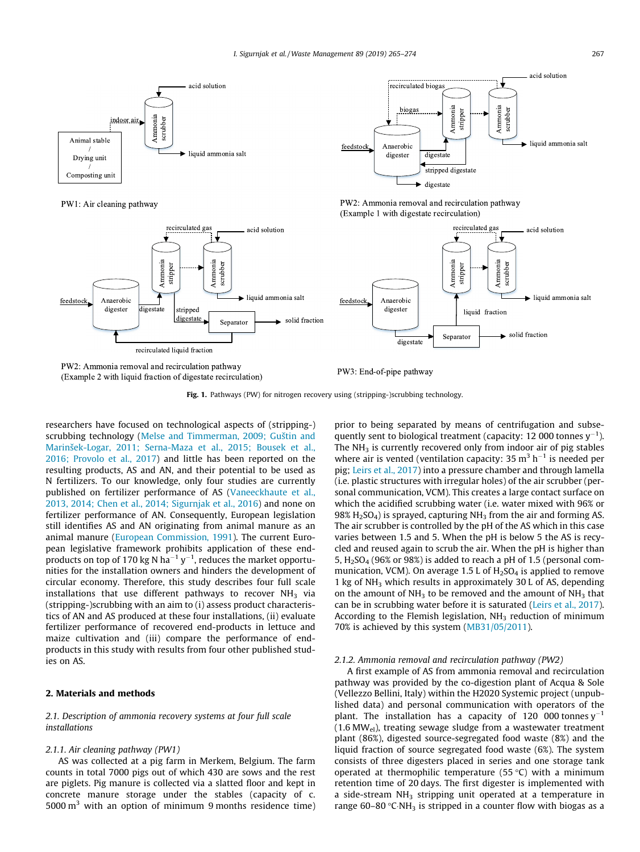<span id="page-2-0"></span>

PW1: Air cleaning pathway



PW2: Ammonia removal and recirculation pathway (Example 1 with digestate recirculation)



PW2: Ammonia removal and recirculation pathway (Example 2 with liquid fraction of digestate recirculation)

PW3: End-of-pipe pathway

Fig. 1. Pathways (PW) for nitrogen recovery using (stripping-)scrubbing technology.

researchers have focused on technological aspects of (stripping-) scrubbing technology [\(Melse and Timmerman, 2009; Guštin and](#page-9-0) [Marinšek-Logar, 2011; Serna-Maza et al., 2015; Bousek et al.,](#page-9-0) [2016; Provolo et al., 2017\)](#page-9-0) and little has been reported on the resulting products, AS and AN, and their potential to be used as N fertilizers. To our knowledge, only four studies are currently published on fertilizer performance of AS [\(Vaneeckhaute et al.,](#page-9-0) [2013, 2014; Chen et al., 2014; Sigurnjak et al., 2016](#page-9-0)) and none on fertilizer performance of AN. Consequently, European legislation still identifies AS and AN originating from animal manure as an animal manure [\(European Commission, 1991\)](#page-8-0). The current European legislative framework prohibits application of these endproducts on top of 170 kg N ha<sup>-1</sup> y<sup>-1</sup>, reduces the market opportunities for the installation owners and hinders the development of circular economy. Therefore, this study describes four full scale installations that use different pathways to recover  $NH<sub>3</sub>$  via (stripping-)scrubbing with an aim to (i) assess product characteristics of AN and AS produced at these four installations, (ii) evaluate fertilizer performance of recovered end-products in lettuce and maize cultivation and (iii) compare the performance of endproducts in this study with results from four other published studies on AS.

# 2. Materials and methods

2.1. Description of ammonia recovery systems at four full scale installations

# 2.1.1. Air cleaning pathway (PW1)

AS was collected at a pig farm in Merkem, Belgium. The farm counts in total 7000 pigs out of which 430 are sows and the rest are piglets. Pig manure is collected via a slatted floor and kept in concrete manure storage under the stables (capacity of c. 5000  $\mathrm{m}^3$  with an option of minimum 9 months residence time) prior to being separated by means of centrifugation and subsequently sent to biological treatment (capacity: 12 000 tonnes  $y^{-1}$ ). The  $NH<sub>3</sub>$  is currently recovered only from indoor air of pig stables where air is vented (ventilation capacity:  $35 \text{ m}^3 \text{ h}^{-1}$  is needed per pig; [Leirs et al., 2017\)](#page-9-0) into a pressure chamber and through lamella (i.e. plastic structures with irregular holes) of the air scrubber (personal communication, VCM). This creates a large contact surface on which the acidified scrubbing water (i.e. water mixed with 96% or 98%  $H_2SO_4$ ) is sprayed, capturing NH<sub>3</sub> from the air and forming AS. The air scrubber is controlled by the pH of the AS which in this case varies between 1.5 and 5. When the pH is below 5 the AS is recycled and reused again to scrub the air. When the pH is higher than 5,  $H_2SO_4$  (96% or 98%) is added to reach a pH of 1.5 (personal communication, VCM). On average 1.5 L of  $H<sub>2</sub>SO<sub>4</sub>$  is applied to remove 1 kg of  $NH<sub>3</sub>$  which results in approximately 30 L of AS, depending on the amount of  $NH<sub>3</sub>$  to be removed and the amount of  $NH<sub>3</sub>$  that can be in scrubbing water before it is saturated ([Leirs et al., 2017\)](#page-9-0). According to the Flemish legislation,  $NH<sub>3</sub>$  reduction of minimum 70% is achieved by this system ([MB31/05/2011\)](#page-9-0).

### 2.1.2. Ammonia removal and recirculation pathway (PW2)

A first example of AS from ammonia removal and recirculation pathway was provided by the co-digestion plant of Acqua & Sole (Vellezzo Bellini, Italy) within the H2020 Systemic project (unpublished data) and personal communication with operators of the plant. The installation has a capacity of 120 000 tonnes  $y^{-1}$  $(1.6 \text{ MW}_{el})$ , treating sewage sludge from a wastewater treatment plant (86%), digested source-segregated food waste (8%) and the liquid fraction of source segregated food waste (6%). The system consists of three digesters placed in series and one storage tank operated at thermophilic temperature (55 °C) with a minimum retention time of 20 days. The first digester is implemented with a side-stream  $NH<sub>3</sub>$  stripping unit operated at a temperature in range 60–80 °C·NH<sub>3</sub> is stripped in a counter flow with biogas as a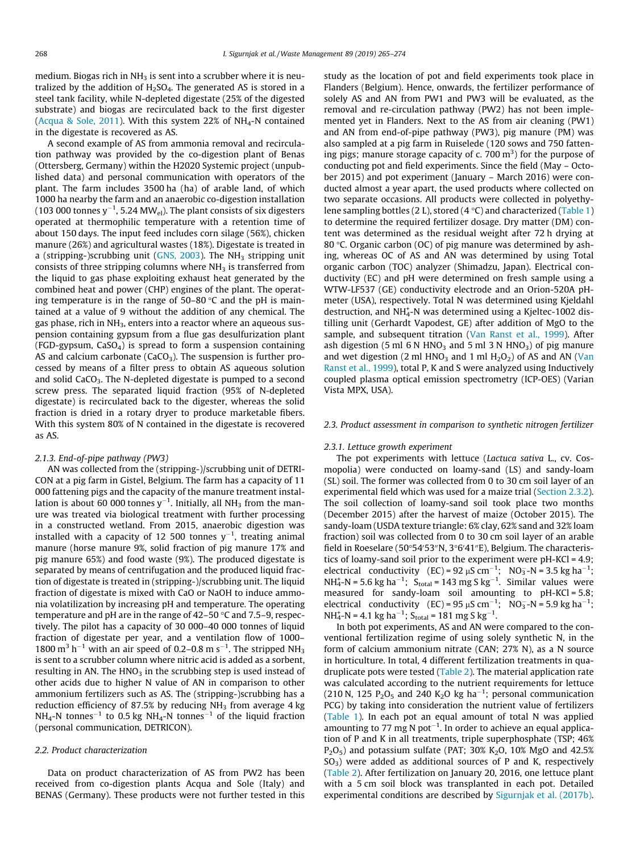medium. Biogas rich in  $NH<sub>3</sub>$  is sent into a scrubber where it is neutralized by the addition of  $H<sub>2</sub>SO<sub>4</sub>$ . The generated AS is stored in a steel tank facility, while N-depleted digestate (25% of the digested substrate) and biogas are recirculated back to the first digester ([Acqua & Sole, 2011](#page-8-0)). With this system 22% of  $NH<sub>4</sub>-N$  contained in the digestate is recovered as AS.

A second example of AS from ammonia removal and recirculation pathway was provided by the co-digestion plant of Benas (Ottersberg, Germany) within the H2020 Systemic project (unpublished data) and personal communication with operators of the plant. The farm includes 3500 ha (ha) of arable land, of which 1000 ha nearby the farm and an anaerobic co-digestion installation (103 000 tonnes y $^{-1}$ , 5.24 MW<sub>el</sub>). The plant consists of six digesters operated at thermophilic temperature with a retention time of about 150 days. The input feed includes corn silage (56%), chicken manure (26%) and agricultural wastes (18%). Digestate is treated in a (stripping-)scrubbing unit [\(GNS, 2003](#page-8-0)). The  $NH<sub>3</sub>$  stripping unit consists of three stripping columns where  $NH<sub>3</sub>$  is transferred from the liquid to gas phase exploiting exhaust heat generated by the combined heat and power (CHP) engines of the plant. The operating temperature is in the range of  $50-80$  °C and the pH is maintained at a value of 9 without the addition of any chemical. The gas phase, rich in NH<sub>3</sub>, enters into a reactor where an aqueous suspension containing gypsum from a flue gas desulfurization plant (FGD-gypsum,  $CaSO<sub>4</sub>$ ) is spread to form a suspension containing AS and calcium carbonate (CaCO<sub>3</sub>). The suspension is further processed by means of a filter press to obtain AS aqueous solution and solid CaCO<sub>3</sub>. The N-depleted digestate is pumped to a second screw press. The separated liquid fraction (95% of N-depleted digestate) is recirculated back to the digester, whereas the solid fraction is dried in a rotary dryer to produce marketable fibers. With this system 80% of N contained in the digestate is recovered as AS.

### 2.1.3. End-of-pipe pathway (PW3)

AN was collected from the (stripping-)/scrubbing unit of DETRI-CON at a pig farm in Gistel, Belgium. The farm has a capacity of 11 000 fattening pigs and the capacity of the manure treatment installation is about 60 000 tonnes y $^{-1}$ . Initially, all NH $_3$  from the manure was treated via biological treatment with further processing in a constructed wetland. From 2015, anaerobic digestion was installed with a capacity of 12 500 tonnes  $y^{-1}$ , treating animal manure (horse manure 9%, solid fraction of pig manure 17% and pig manure 65%) and food waste (9%). The produced digestate is separated by means of centrifugation and the produced liquid fraction of digestate is treated in (stripping-)/scrubbing unit. The liquid fraction of digestate is mixed with CaO or NaOH to induce ammonia volatilization by increasing pH and temperature. The operating temperature and pH are in the range of  $42-50$  °C and  $7.5-9$ , respectively. The pilot has a capacity of 30 000–40 000 tonnes of liquid fraction of digestate per year, and a ventilation flow of 1000– 1800  $m^3$  h<sup>-1</sup> with an air speed of 0.2–0.8 m s<sup>-1</sup>. The stripped NH<sub>3</sub> is sent to a scrubber column where nitric acid is added as a sorbent, resulting in AN. The  $HNO<sub>3</sub>$  in the scrubbing step is used instead of other acids due to higher N value of AN in comparison to other ammonium fertilizers such as AS. The (stripping-)scrubbing has a reduction efficiency of 87.5% by reducing  $NH<sub>3</sub>$  from average 4 kg  $NH_4$ -N tonnes<sup>-1</sup> to 0.5 kg NH<sub>4</sub>-N tonnes<sup>-1</sup> of the liquid fraction (personal communication, DETRICON).

### 2.2. Product characterization

Data on product characterization of AS from PW2 has been received from co-digestion plants Acqua and Sole (Italy) and BENAS (Germany). These products were not further tested in this

study as the location of pot and field experiments took place in Flanders (Belgium). Hence, onwards, the fertilizer performance of solely AS and AN from PW1 and PW3 will be evaluated, as the removal and re-circulation pathway (PW2) has not been implemented yet in Flanders. Next to the AS from air cleaning (PW1) and AN from end-of-pipe pathway (PW3), pig manure (PM) was also sampled at a pig farm in Ruiselede (120 sows and 750 fattening pigs; manure storage capacity of c. 700  $m<sup>3</sup>$ ) for the purpose of conducting pot and field experiments. Since the field (May – October 2015) and pot experiment (January – March 2016) were conducted almost a year apart, the used products where collected on two separate occasions. All products were collected in polyethylene sampling bottles (2 L), stored (4  $\degree$ C) and characterized ([Table 1\)](#page-4-0) to determine the required fertilizer dosage. Dry matter (DM) content was determined as the residual weight after 72 h drying at 80  $\degree$ C. Organic carbon (OC) of pig manure was determined by ashing, whereas OC of AS and AN was determined by using Total organic carbon (TOC) analyzer (Shimadzu, Japan). Electrical conductivity (EC) and pH were determined on fresh sample using a WTW-LF537 (GE) conductivity electrode and an Orion-520A pHmeter (USA), respectively. Total N was determined using Kjeldahl destruction, and NH<sup>+</sup>-N was determined using a Kjeltec-1002 distilling unit (Gerhardt Vapodest, GE) after addition of MgO to the sample, and subsequent titration [\(Van Ranst et al., 1999](#page-9-0)). After ash digestion (5 ml 6 N HNO<sub>3</sub> and 5 ml 3 N HNO<sub>3</sub>) of pig manure and wet digestion (2 ml  $HNO<sub>3</sub>$  and 1 ml  $H<sub>2</sub>O<sub>2</sub>$ ) of AS and AN [\(Van](#page-9-0) [Ranst et al., 1999\)](#page-9-0), total P, K and S were analyzed using Inductively coupled plasma optical emission spectrometry (ICP-OES) (Varian Vista MPX, USA).

#### 2.3. Product assessment in comparison to synthetic nitrogen fertilizer

#### 2.3.1. Lettuce growth experiment

The pot experiments with lettuce (Lactuca sativa L., cv. Cosmopolia) were conducted on loamy-sand (LS) and sandy-loam (SL) soil. The former was collected from 0 to 30 cm soil layer of an experimental field which was used for a maize trial ([Section 2.3.2\)](#page-4-0). The soil collection of loamy-sand soil took place two months (December 2015) after the harvest of maize (October 2015). The sandy-loam (USDA texture triangle: 6% clay, 62% sand and 32% loam fraction) soil was collected from 0 to 30 cm soil layer of an arable field in Roeselare (50°54′53″N, 3°6′41″E), Belgium. The characteristics of loamy-sand soil prior to the experiment were pH-KCl = 4.9; electrical conductivity  $(EC) = 92 \mu S \text{ cm}^{-1}$ ;  $NO_3^- - N = 3.5 \text{ kg ha}^{-1}$ ;  $NH_4^+$ -N = 5.6 kg ha<sup>-1</sup>; S<sub>total</sub> = 143 mg S kg<sup>-1</sup>. Similar values were measured for sandy-loam soil amounting to pH-KCl = 5.8; electrical conductivity  $(EC) = 95 \mu S \text{ cm}^{-1}$ ; NO<sub>3</sub>-N = 5.9 kg ha<sup>-1</sup>;  $NH_4^+$ -N = 4.1 kg ha<sup>-1</sup>; S<sub>total</sub> = 181 mg S kg<sup>-1</sup>.

In both pot experiments, AS and AN were compared to the conventional fertilization regime of using solely synthetic N, in the form of calcium ammonium nitrate (CAN; 27% N), as a N source in horticulture. In total, 4 different fertilization treatments in quadruplicate pots were tested ([Table 2\)](#page-4-0). The material application rate was calculated according to the nutrient requirements for lettuce (210 N, 125  $P_2O_5$  and 240 K<sub>2</sub>O kg ha<sup>-1</sup>; personal communication PCG) by taking into consideration the nutrient value of fertilizers ([Table 1\)](#page-4-0). In each pot an equal amount of total N was applied amounting to 77 mg N pot $^{-1}$ . In order to achieve an equal application of P and K in all treatments, triple superphosphate (TSP; 46%  $P_2O_5$ ) and potassium sulfate (PAT; 30% K<sub>2</sub>O, 10% MgO and 42.5%  $SO<sub>3</sub>$ ) were added as additional sources of P and K, respectively ([Table 2](#page-4-0)). After fertilization on January 20, 2016, one lettuce plant with a 5 cm soil block was transplanted in each pot. Detailed experimental conditions are described by [Sigurnjak et al. \(2017b\).](#page-9-0)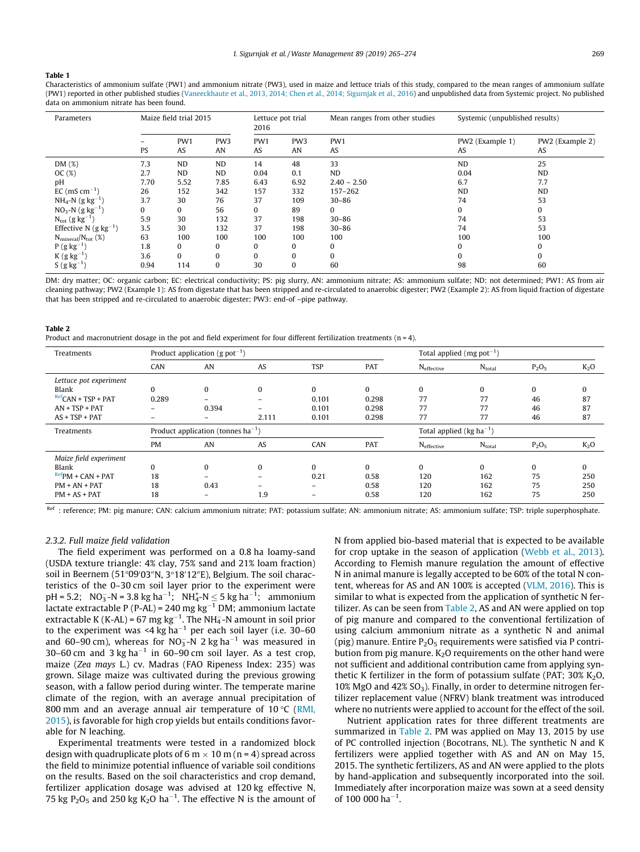#### <span id="page-4-0"></span>Table 1

Characteristics of ammonium sulfate (PW1) and ammonium nitrate (PW3), used in maize and lettuce trials of this study, compared to the mean ranges of ammonium sulfate (PW1) reported in other published studies ([Vaneeckhaute et al., 2013, 2014; Chen et al., 2014; Sigurnjak et al., 2016\)](#page-9-0) and unpublished data from Systemic project. No published data on ammonium nitrate has been found.

| Parameters                              | Maize field trial 2015 |           |                       | Lettuce pot trial<br>2016 |                       | Mean ranges from other studies | Systemic (unpublished results) |                       |
|-----------------------------------------|------------------------|-----------|-----------------------|---------------------------|-----------------------|--------------------------------|--------------------------------|-----------------------|
|                                         | <b>PS</b>              | PW1<br>AS | PW <sub>3</sub><br>AN | PW1<br>AS                 | PW <sub>3</sub><br>AN | PW1<br>AS                      | PW2 (Example 1)<br>AS          | PW2 (Example 2)<br>AS |
| DM(%)                                   | 7.3                    | <b>ND</b> | <b>ND</b>             | 14                        | 48                    | 33                             | <b>ND</b>                      | 25                    |
| OC(%)                                   | 2.7                    | <b>ND</b> | <b>ND</b>             | 0.04                      | 0.1                   | <b>ND</b>                      | 0.04                           | <b>ND</b>             |
| pH                                      | 7.70                   | 5.52      | 7.85                  | 6.43                      | 6.92                  | $2.40 - 2.50$                  | 6.7                            | 7.7                   |
| $EC$ (mS cm <sup>-1</sup> )             | 26                     | 152       | 342                   | 157                       | 332                   | 157-262                        | <b>ND</b>                      | <b>ND</b>             |
| $NH_4-N$ (g kg <sup>-1</sup> )          | 3.7                    | 30        | 76                    | 37                        | 109                   | $30 - 86$                      | 74                             | 53                    |
| $NO_3-N$ (g kg <sup>-1</sup> )          | 0                      | $\Omega$  | 56                    | 0                         | 89                    | 0                              | $\Omega$                       | $\bf{0}$              |
| $N_{\rm tot}$ (g kg <sup>-1</sup> )     | 5.9                    | 30        | 132                   | 37                        | 198                   | $30 - 86$                      | 74                             | 53                    |
| Effective N (g $kg^{-1}$ )              | 3.5                    | 30        | 132                   | 37                        | 198                   | $30 - 86$                      | 74                             | 53                    |
| $N_{\text{mineral}}/N_{\text{tot}}$ (%) | 63                     | 100       | 100                   | 100                       | 100                   | 100                            | 100                            | 100                   |
| $P(g kg^{-1})$                          | 1.8                    | $\Omega$  | $\Omega$              | 0                         | $\Omega$              | 0                              |                                | $\bf{0}$              |
| $K(g kg-1)$                             | 3.6                    | $\Omega$  | 0                     | 0                         | $\Omega$              | $\bf{0}$                       |                                | $\Omega$              |
| $S(gkg^{-1})$                           | 0.94                   | 114       | 0                     | 30                        | $\bf{0}$              | 60                             | 98                             | 60                    |

DM: dry matter; OC: organic carbon; EC: electrical conductivity; PS: pig slurry, AN: ammonium nitrate; AS: ammonium sulfate; ND: not determined; PW1: AS from air cleaning pathway; PW2 (Example 1): AS from digestate that has been stripped and re-circulated to anaerobic digester; PW2 (Example 2): AS from liquid fraction of digestate that has been stripped and re-circulated to anaerobic digester; PW3: end-of –pipe pathway.

| Table 2                                                                                                                   |
|---------------------------------------------------------------------------------------------------------------------------|
| Product and macronutrient dosage in the pot and field experiment for four different fertilization treatments ( $n = 4$ ). |

| Treatments                   |           | Product application (g pot <sup>-1</sup> ) |                          |            |            | Total applied (mg pot <sup>-1</sup> )   |             |          |        |
|------------------------------|-----------|--------------------------------------------|--------------------------|------------|------------|-----------------------------------------|-------------|----------|--------|
|                              | CAN       | AN                                         | AS                       | <b>TSP</b> | <b>PAT</b> | Neffective                              | $N_{total}$ | $P_2O_5$ | $K_2O$ |
| Lettuce pot experiment       |           |                                            |                          |            |            |                                         |             |          |        |
| Blank                        | 0         | $\bf{0}$                                   | $\mathbf{0}$             | $\Omega$   | 0          | 0                                       | $\bf{0}$    | $\Omega$ | 0      |
| $RefCAN + TSP + PAT$         | 0.289     | $\overline{\phantom{0}}$                   |                          | 0.101      | 0.298      | 77                                      | 77          | 46       | 87     |
| $AN + TSP + PAT$             | -         | 0.394                                      | $\overline{\phantom{m}}$ | 0.101      | 0.298      | 77                                      | 77          | 46       | 87     |
| $AS + TSP + PAT$             | -         | $-$                                        | 2.111                    | 0.101      | 0.298      | 77                                      | 77          | 46       | 87     |
| Treatments                   |           | Product application (tonnes $ha^{-1}$ )    |                          |            |            | Total applied ( $kg$ ha <sup>-1</sup> ) |             |          |        |
|                              | <b>PM</b> | AN                                         | AS                       | CAN        | PAT        | N <sub>effective</sub>                  | $N_{total}$ | $P_2O_5$ | $K_2O$ |
| Maize field experiment       |           |                                            |                          |            |            |                                         |             |          |        |
| Blank                        | 0         | $\bf{0}$                                   | $\mathbf{0}$             | $\Omega$   | $\Omega$   | $\mathbf{0}$                            | $\Omega$    | $\Omega$ | 0      |
| $\frac{Ref}{PM}$ + CAN + PAT | 18        | $\overline{\phantom{0}}$                   | $\overline{\phantom{0}}$ | 0.21       | 0.58       | 120                                     | 162         | 75       | 250    |
| $PM + AN + PAT$              | 18        | 0.43                                       |                          |            | 0.58       | 120                                     | 162         | 75       | 250    |
| $PM + AS + PAT$              | 18        | -                                          | 1.9                      |            | 0.58       | 120                                     | 162         | 75       | 250    |

Ref : reference; PM: pig manure; CAN: calcium ammonium nitrate; PAT: potassium sulfate; AN: ammonium nitrate; AS: ammonium sulfate; TSP: triple superphosphate.

#### 2.3.2. Full maize field validation

The field experiment was performed on a 0.8 ha loamy-sand (USDA texture triangle: 4% clay, 75% sand and 21% loam fraction) soil in Beernem (51°09′03″N, 3°18′12″E), Belgium. The soil characteristics of the 0–30 cm soil layer prior to the experiment were pH = 5.2; NO<sub>3</sub>-N = 3.8 kg ha<sup>-1</sup>; NH<sub>4</sub>-N  $\leq$  5 kg ha<sup>-1</sup>; ammonium lactate extractable P (P-AL) = 240 mg kg $^{-1}$  DM; ammonium lactate extractable K (K-AL) = 67 mg kg<sup>-1</sup>. The NH<sub>4</sub>-N amount in soil prior to the experiment was <4 kg ha $^{-1}$  per each soil layer (i.e. 30–60 and 60–90 cm), whereas for NO<sub>3</sub>-N 2 kg ha<sup>-1</sup> was measured in 30–60 cm and 3 kg ha<sup>-1</sup> in 60–90 cm soil layer. As a test crop, maize (Zea mays L.) cv. Madras (FAO Ripeness Index: 235) was grown. Silage maize was cultivated during the previous growing season, with a fallow period during winter. The temperate marine climate of the region, with an average annual precipitation of 800 mm and an average annual air temperature of  $10 \degree C$  [\(RMI,](#page-9-0) [2015\)](#page-9-0), is favorable for high crop yields but entails conditions favorable for N leaching.

Experimental treatments were tested in a randomized block design with quadruplicate plots of 6 m  $\times$  10 m (n = 4) spread across the field to minimize potential influence of variable soil conditions on the results. Based on the soil characteristics and crop demand, fertilizer application dosage was advised at 120 kg effective N, 75 kg  $P_2O_5$  and 250 kg K<sub>2</sub>O ha<sup>-1</sup>. The effective N is the amount of

N from applied bio-based material that is expected to be available for crop uptake in the season of application ([Webb et al., 2013\)](#page-9-0). According to Flemish manure regulation the amount of effective N in animal manure is legally accepted to be 60% of the total N content, whereas for AS and AN 100% is accepted [\(VLM, 2016\)](#page-9-0). This is similar to what is expected from the application of synthetic N fertilizer. As can be seen from Table 2, AS and AN were applied on top of pig manure and compared to the conventional fertilization of using calcium ammonium nitrate as a synthetic N and animal (pig) manure. Entire  $P_2O_5$  requirements were satisfied via P contribution from pig manure.  $K_2O$  requirements on the other hand were not sufficient and additional contribution came from applying synthetic K fertilizer in the form of potassium sulfate (PAT;  $30\%$  K<sub>2</sub>O, 10% MgO and  $42\%$  SO<sub>3</sub>). Finally, in order to determine nitrogen fertilizer replacement value (NFRV) blank treatment was introduced where no nutrients were applied to account for the effect of the soil.

Nutrient application rates for three different treatments are summarized in Table 2. PM was applied on May 13, 2015 by use of PC controlled injection (Bocotrans, NL). The synthetic N and K fertilizers were applied together with AS and AN on May 15, 2015. The synthetic fertilizers, AS and AN were applied to the plots by hand-application and subsequently incorporated into the soil. Immediately after incorporation maize was sown at a seed density of 100 000 ha<sup>-1</sup>.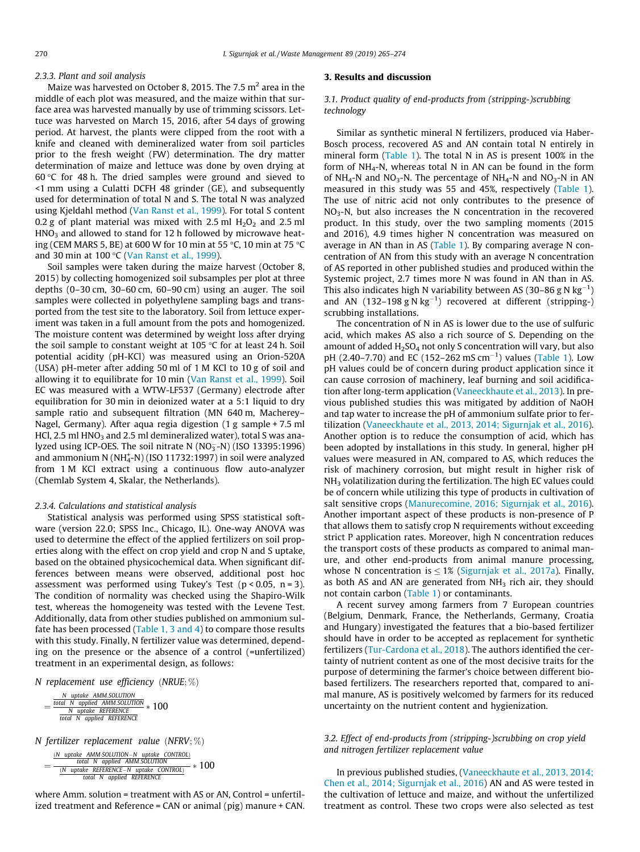#### 2.3.3. Plant and soil analysis

Maize was harvested on October 8, 2015. The 7.5  $m<sup>2</sup>$  area in the middle of each plot was measured, and the maize within that surface area was harvested manually by use of trimming scissors. Lettuce was harvested on March 15, 2016, after 54 days of growing period. At harvest, the plants were clipped from the root with a knife and cleaned with demineralized water from soil particles prior to the fresh weight (FW) determination. The dry matter determination of maize and lettuce was done by oven drying at 60 $\degree$ C for 48 h. The dried samples were ground and sieved to <1 mm using a Culatti DCFH 48 grinder (GE), and subsequently used for determination of total N and S. The total N was analyzed using Kjeldahl method ([Van Ranst et al., 1999](#page-9-0)). For total S content 0.2 g of plant material was mixed with 2.5 ml  $H_2O_2$  and 2.5 ml  $HNO<sub>3</sub>$  and allowed to stand for 12 h followed by microwave heating (CEM MARS 5, BE) at 600 W for 10 min at 55 °C, 10 min at 75 °C and 30 min at 100  $\degree$ C [\(Van Ranst et al., 1999\)](#page-9-0).

Soil samples were taken during the maize harvest (October 8, 2015) by collecting homogenized soil subsamples per plot at three depths (0–30 cm, 30–60 cm, 60–90 cm) using an auger. The soil samples were collected in polyethylene sampling bags and transported from the test site to the laboratory. Soil from lettuce experiment was taken in a full amount from the pots and homogenized. The moisture content was determined by weight loss after drying the soil sample to constant weight at 105  $\degree$ C for at least 24 h. Soil potential acidity (pH-KCl) was measured using an Orion-520A (USA) pH-meter after adding 50 ml of 1 M KCl to 10 g of soil and allowing it to equilibrate for 10 min ([Van Ranst et al., 1999](#page-9-0)). Soil EC was measured with a WTW-LF537 (Germany) electrode after equilibration for 30 min in deionized water at a 5:1 liquid to dry sample ratio and subsequent filtration (MN 640 m, Macherey– Nagel, Germany). After aqua regia digestion (1 g sample + 7.5 ml HCl, 2.5 ml  $HNO<sub>3</sub>$  and 2.5 ml demineralized water), total S was analyzed using ICP-OES. The soil nitrate N (NO $_3^-$ -N) (ISO 13395:1996) and ammonium N ( $NH_4^{\text{-}}$ N) (ISO 11732:1997) in soil were analyzed from 1 M KCl extract using a continuous flow auto-analyzer (Chemlab System 4, Skalar, the Netherlands).

#### 2.3.4. Calculations and statistical analysis

Statistical analysis was performed using SPSS statistical software (version 22.0; SPSS Inc., Chicago, IL). One-way ANOVA was used to determine the effect of the applied fertilizers on soil properties along with the effect on crop yield and crop N and S uptake, based on the obtained physicochemical data. When significant differences between means were observed, additional post hoc assessment was performed using Tukey's Test ( $p < 0.05$ ,  $n = 3$ ). The condition of normality was checked using the Shapiro-Wilk test, whereas the homogeneity was tested with the Levene Test. Additionally, data from other studies published on ammonium sulfate has been processed ([Table 1, 3 and 4](#page-4-0)) to compare those results with this study. Finally, N fertilizer value was determined, depending on the presence or the absence of a control (=unfertilized) treatment in an experimental design, as follows:

N replacement use efficiency (NRUE;  $\%$ )

$$
=\frac{\frac{N \text{ uptake } AMM.SOLUTION}{\frac{total \text{ N} \text{ applied } AMM.SOLUTION}}}{\frac{N \text{ update } REFERNCE}{\frac{total \text{ N} \text{ update } REFERNCE}}}
$$
\* 100

N fertilizer replacement value (NFRV;  $\%$ )

 $\equiv$ (N uptake AMM-SOLUTION-N uptake CONTROL) total N applied AMM.SOLUTION  $\frac{(N \text{ uptake } REFERENCE-N \text{ uptake } CONTROL)}{N} * 100$ total N applied REFERENCE

where Amm. solution = treatment with AS or AN, Control = unfertilized treatment and Reference = CAN or animal (pig) manure + CAN.

# 3. Results and discussion

# 3.1. Product quality of end-products from (stripping-)scrubbing technology

Similar as synthetic mineral N fertilizers, produced via Haber-Bosch process, recovered AS and AN contain total N entirely in mineral form ([Table 1](#page-4-0)). The total N in AS is present 100% in the form of  $NH<sub>4</sub>-N$ , whereas total N in AN can be found in the form of NH<sub>4</sub>-N and NO<sub>3</sub>-N. The percentage of NH<sub>4</sub>-N and NO<sub>3</sub>-N in AN measured in this study was 55 and 45%, respectively ([Table 1\)](#page-4-0). The use of nitric acid not only contributes to the presence of  $NO<sub>3</sub>-N$ , but also increases the N concentration in the recovered product. In this study, over the two sampling moments (2015 and 2016), 4.9 times higher N concentration was measured on average in AN than in AS ([Table 1\)](#page-4-0). By comparing average N concentration of AN from this study with an average N concentration of AS reported in other published studies and produced within the Systemic project, 2.7 times more N was found in AN than in AS. This also indicates high N variability between AS (30-86 g N  $\text{kg}^{-1}$ ) and AN  $(132-198 \text{ g N kg}^{-1})$  recovered at different (stripping-) scrubbing installations.

The concentration of N in AS is lower due to the use of sulfuric acid, which makes AS also a rich source of S. Depending on the amount of added  $H_2SO_4$  not only S concentration will vary, but also pH  $(2.40-7.70)$  and EC  $(152-262 \text{ mS cm}^{-1})$  values ([Table 1\)](#page-4-0). Low pH values could be of concern during product application since it can cause corrosion of machinery, leaf burning and soil acidification after long-term application [\(Vaneeckhaute et al., 2013\)](#page-9-0). In previous published studies this was mitigated by addition of NaOH and tap water to increase the pH of ammonium sulfate prior to fertilization [\(Vaneeckhaute et al., 2013, 2014; Sigurnjak et al., 2016\)](#page-9-0). Another option is to reduce the consumption of acid, which has been adopted by installations in this study. In general, higher pH values were measured in AN, compared to AS, which reduces the risk of machinery corrosion, but might result in higher risk of  $NH<sub>3</sub>$  volatilization during the fertilization. The high EC values could be of concern while utilizing this type of products in cultivation of salt sensitive crops [\(Manurecomine, 2016; Sigurnjak et al., 2016\)](#page-9-0). Another important aspect of these products is non-presence of P that allows them to satisfy crop N requirements without exceeding strict P application rates. Moreover, high N concentration reduces the transport costs of these products as compared to animal manure, and other end-products from animal manure processing, whose N concentration is  $< 1\%$  ([Sigurnjak et al., 2017a\)](#page-9-0). Finally, as both AS and AN are generated from  $NH<sub>3</sub>$  rich air, they should not contain carbon [\(Table 1\)](#page-4-0) or contaminants.

A recent survey among farmers from 7 European countries (Belgium, Denmark, France, the Netherlands, Germany, Croatia and Hungary) investigated the features that a bio-based fertilizer should have in order to be accepted as replacement for synthetic fertilizers ([Tur-Cardona et al., 2018\)](#page-9-0). The authors identified the certainty of nutrient content as one of the most decisive traits for the purpose of determining the farmer's choice between different biobased fertilizers. The researchers reported that, compared to animal manure, AS is positively welcomed by farmers for its reduced uncertainty on the nutrient content and hygienization.

# 3.2. Effect of end-products from (stripping-)scrubbing on crop yield and nitrogen fertilizer replacement value

In previous published studies, ([Vaneeckhaute et al., 2013, 2014;](#page-9-0) [Chen et al., 2014; Sigurnjak et al., 2016](#page-9-0)) AN and AS were tested in the cultivation of lettuce and maize, and without the unfertilized treatment as control. These two crops were also selected as test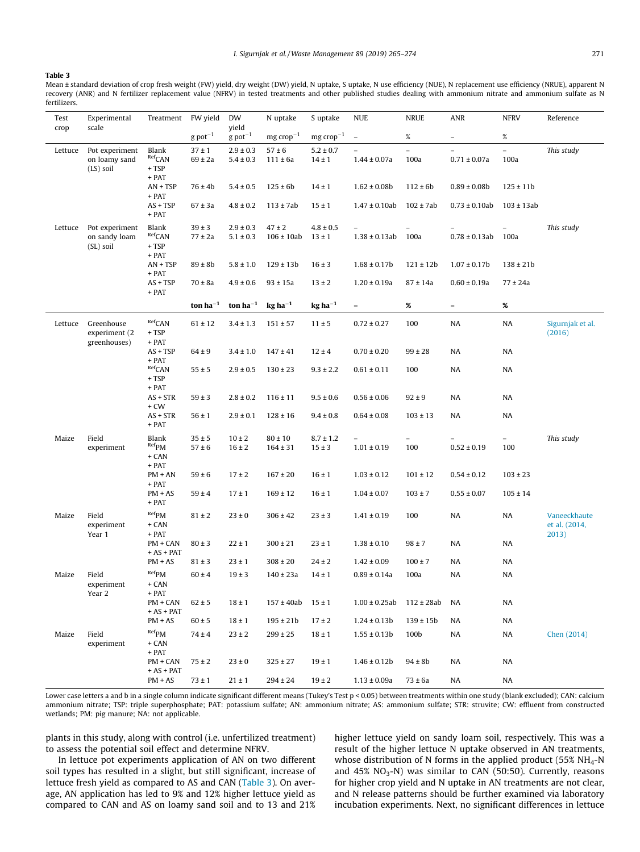#### <span id="page-6-0"></span>Table 3

Mean ± standard deviation of crop fresh weight (FW) yield, dry weight (DW) yield, N uptake, S uptake, N use efficiency (NUE), N replacement use efficiency (NRUE), apparent N recovery (ANR) and N fertilizer replacement value (NFRV) in tested treatments and other published studies dealing with ammonium nitrate and ammonium sulfate as N fertilizers.

| Test        | Experimental                                 | Treatment                                       | FW yield                  | DW                             | N uptake                     | S uptake                    | <b>NUE</b>                                     | <b>NRUE</b>              | ANR                                            | <b>NFRV</b>    | Reference                              |
|-------------|----------------------------------------------|-------------------------------------------------|---------------------------|--------------------------------|------------------------------|-----------------------------|------------------------------------------------|--------------------------|------------------------------------------------|----------------|----------------------------------------|
| crop        | scale                                        |                                                 | $g$ pot <sup>-1</sup>     | yield<br>$g$ pot <sup>-1</sup> | $mg$ crop <sup>-1</sup>      | $mg$ crop <sup>-1</sup>     | $\overline{\phantom{a}}$                       | $\%$                     | $\overline{\phantom{0}}$                       | %              |                                        |
| Lettuce     | Pot experiment                               | Blank                                           | $37 \pm 1$                | $2.9 \pm 0.3$                  | $57 \pm 6$                   | $5.2 \pm 0.7$               | $\overline{\phantom{0}}$                       | $\overline{\phantom{0}}$ | $\overline{\phantom{a}}$                       | $\overline{a}$ | This study                             |
| $(LS)$ soil | on loamy sand                                | Ref <sub>CAN</sub><br>$+ TSP$<br>+ PAT          | $69 \pm 2a$               | $5.4 \pm 0.3$                  | $111 \pm 6a$                 | $14 \pm 1$                  | $1.44 \pm 0.07a$                               | 100a                     | $0.71 \pm 0.07$ a                              | 100a           |                                        |
|             |                                              | $AN + TSP$<br>+ PAT                             | $76 \pm 4b$               | $5.4 \pm 0.5$                  | $125 \pm 6b$                 | $14 \pm 1$                  | $1.62 \pm 0.08b$                               | $112 \pm 6b$             | $0.89 \pm 0.08$ b                              | $125 \pm 11b$  |                                        |
|             |                                              | $AS + TSP$<br>$+$ PAT                           | $67 \pm 3a$               | $4.8 \pm 0.2$                  | $113 \pm 7ab$                | $15 \pm 1$                  | $1.47 \pm 0.10$ ab                             | $102 \pm 7ab$            | $0.73 \pm 0.10$ ab                             | $103 \pm 13ab$ |                                        |
| Lettuce     | Pot experiment<br>on sandy loam<br>(SL) soil | Blank<br>Ref <sub>CAN</sub><br>$+ TSP$<br>+ PAT | $39 \pm 3$<br>$77 \pm 2a$ | $2.9 \pm 0.3$<br>$5.1 \pm 0.3$ | $47 \pm 2$<br>$106 \pm 10ab$ | $4.8 \pm 0.5$<br>$13 \pm 1$ | $\overline{\phantom{0}}$<br>$1.38 \pm 0.13$ ab | $\equiv$<br>100a         | $\overline{\phantom{0}}$<br>$0.78 \pm 0.13$ ab | 100a           | This study                             |
|             |                                              | $AN + TSP$<br>+ PAT                             | $89 \pm 8b$               | $5.8 \pm 1.0$                  | $129 \pm 13b$                | $16 \pm 3$                  | $1.68 \pm 0.17$ b                              | $121 \pm 12b$            | $1.07 \pm 0.17$ b                              | $138 \pm 21b$  |                                        |
|             |                                              | $AS + TSP$<br>+ PAT                             | $70 \pm 8a$               | $4.9 \pm 0.6$                  | $93 \pm 15a$                 | $13 \pm 2$                  | $1.20 \pm 0.19a$                               | $87 \pm 14a$             | $0.60 \pm 0.19a$                               | $77 \pm 24a$   |                                        |
|             |                                              |                                                 | ton $ha^{-1}$             | ton $ha^{-1}$                  | $\rm kg$ ha <sup>-1</sup>    | $kg$ ha <sup>-1</sup>       | $\overline{\phantom{0}}$                       | %                        | $\overline{\phantom{a}}$                       | $\%$           |                                        |
| Lettuce     | Greenhouse<br>experiment (2<br>greenhouses)  | Ref <sub>CAN</sub><br>$+ TSP$<br>+ PAT          | $61 \pm 12$               | $3.4 \pm 1.3$                  | $151 \pm 57$                 | $11 \pm 5$                  | $0.72 \pm 0.27$                                | 100                      | NA                                             | NA             | Sigurnjak et al.<br>(2016)             |
|             |                                              | $AS + TSP$<br>+ PAT                             | $64 \pm 9$                | $3.4 \pm 1.0$                  | $147 \pm 41$                 | $12 \pm 4$                  | $0.70 \pm 0.20$                                | $99 \pm 28$              | NA                                             | NA             |                                        |
|             |                                              | Ref <sub>CAN</sub><br>$+ TSP$<br>+ PAT          | $55 \pm 5$                | $2.9 \pm 0.5$                  | $130 \pm 23$                 | $9.3 \pm 2.2$               | $0.61 \pm 0.11$                                | 100                      | NA                                             | NA             |                                        |
|             |                                              | $AS + STR$<br>+ CW                              | $59 \pm 3$                | $2.8 \pm 0.2$                  | $116 \pm 11$                 | $9.5 \pm 0.6$               | $0.56 \pm 0.06$                                | $92 \pm 9$               | NA                                             | NA             |                                        |
|             |                                              | $AS + STR$<br>+ PAT                             | $56 \pm 1$                | $2.9 \pm 0.1$                  | $128 \pm 16$                 | $9.4 \pm 0.8$               | $0.64 \pm 0.08$                                | $103 \pm 13$             | NA                                             | NA             |                                        |
| Maize       | Field                                        | Blank                                           | $35 \pm 5$                | $10 \pm 2$                     | $80 \pm 10$                  | $8.7 \pm 1.2$               | $\overline{\phantom{0}}$                       | $\overline{\phantom{a}}$ |                                                | $\equiv$       | This study                             |
|             | experiment                                   | $Ref$ PM<br>+ CAN<br>+ PAT                      | $57 \pm 6$                | $16 \pm 2$                     | $164 \pm 31$                 | $15 \pm 3$                  | $1.01 \pm 0.19$                                | 100                      | $0.52 \pm 0.19$                                | 100            |                                        |
|             |                                              | $PM + AN$<br>+ PAT                              | $59 \pm 6$                | $17 \pm 2$                     | $167 \pm 20$                 | $16 \pm 1$                  | $1.03 \pm 0.12$                                | $101 \pm 12$             | $0.54 \pm 0.12$                                | $103 \pm 23$   |                                        |
|             |                                              | $PM + AS$<br>+ PAT                              | $59 \pm 4$                | $17 \pm 1$                     | $169 \pm 12$                 | $16 \pm 1$                  | $1.04 \pm 0.07$                                | $103 \pm 7$              | $0.55 \pm 0.07$                                | $105 \pm 14$   |                                        |
| Maize       | Field<br>experiment<br>Year 1                | $Ref$ PM<br>+ CAN<br>+ PAT                      | $81 \pm 2$                | $23 \pm 0$                     | $306 \pm 42$                 | $23 \pm 3$                  | $1.41 \pm 0.19$                                | 100                      | NA                                             | NA             | Vaneeckhaute<br>et al. (2014,<br>2013) |
|             |                                              | PM + CAN<br>$+ AS + PAT$                        | $80 \pm 3$                | $22 \pm 1$                     | $300 \pm 21$                 | $23 \pm 1$                  | $1.38 \pm 0.10$                                | $98 \pm 7$               | NA                                             | NA             |                                        |
|             |                                              | $PM + AS$                                       | $81 \pm 3$                | $23 \pm 1$                     | $308 \pm 20$                 | $24 \pm 2$                  | $1.42 \pm 0.09$                                | $100 \pm 7$              | NA                                             | NA             |                                        |
| Maize       | Field<br>experiment<br>Year 2                | $Ref$ PM<br>+ CAN<br>+ PAT                      | $60 \pm 4$                | $19 \pm 3$                     | $140 \pm 23a$                | $14 \pm 1$                  | $0.89 \pm 0.14a$                               | 100a                     | NA                                             | NA             |                                        |
|             |                                              | $PM + CAN$<br>$+ AS + PAT$                      | $62 \pm 5$                | $18 \pm 1$                     | $157 \pm 40ab$               | $15 \pm 1$                  | $1.00 \pm 0.25$ ab $112 \pm 28$ ab             |                          | NA                                             | NA             |                                        |
|             |                                              | $PM + AS$                                       | $60 \pm 5$                | $18 \pm 1$                     | $195 \pm 21b$                | $17 \pm 2$                  | $1.24 \pm 0.13b$                               | $139 \pm 15b$            | NA                                             | NA             |                                        |
| Maize       | Field<br>experiment                          | Ref <sub>PM</sub><br>+ CAN<br>+ PAT             | $74 \pm 4$                | $23 \pm 2$                     | $299 \pm 25$                 | $18 \pm 1$                  | $1.55 \pm 0.13b$                               | 100b                     | NA                                             | NA             | Chen (2014)                            |
|             |                                              | PM + CAN<br>$+ AS + PAT$                        | $75 \pm 2$                | $23 \pm 0$                     | $325 \pm 27$                 | $19 \pm 1$                  | $1.46 \pm 0.12b$                               | $94 \pm 8b$              | NA                                             | NA             |                                        |
|             |                                              | $PM + AS$                                       | $73 \pm 1$                | $21 \pm 1$                     | $294 \pm 24$                 | $19 \pm 2$                  | $1.13 \pm 0.09a$                               | $73 \pm 6a$              | NA                                             | NA             |                                        |

Lower case letters a and b in a single column indicate significant different means (Tukey's Test p < 0.05) between treatments within one study (blank excluded); CAN: calcium ammonium nitrate; TSP: triple superphosphate; PAT: potassium sulfate; AN: ammonium nitrate; AS: ammonium sulfate; STR: struvite; CW: effluent from constructed wetlands; PM: pig manure; NA: not applicable.

plants in this study, along with control (i.e. unfertilized treatment) to assess the potential soil effect and determine NFRV.

In lettuce pot experiments application of AN on two different soil types has resulted in a slight, but still significant, increase of lettuce fresh yield as compared to AS and CAN (Table 3). On average, AN application has led to 9% and 12% higher lettuce yield as compared to CAN and AS on loamy sand soil and to 13 and 21% higher lettuce yield on sandy loam soil, respectively. This was a result of the higher lettuce N uptake observed in AN treatments, whose distribution of N forms in the applied product (55% NH<sub>4</sub>-N and  $45\%$  NO<sub>3</sub>-N) was similar to CAN (50:50). Currently, reasons for higher crop yield and N uptake in AN treatments are not clear, and N release patterns should be further examined via laboratory incubation experiments. Next, no significant differences in lettuce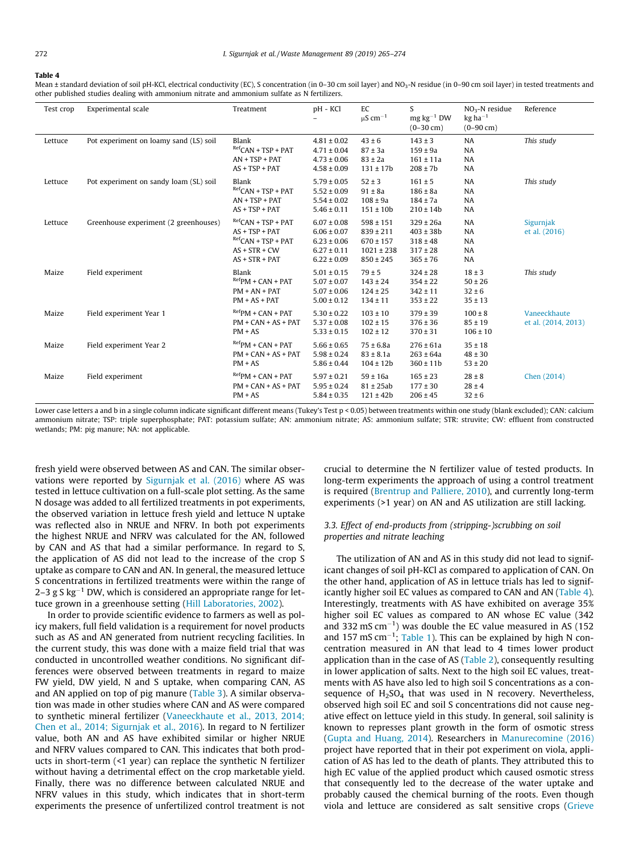#### <span id="page-7-0"></span>Table 4

Mean ± standard deviation of soil pH-KCl, electrical conductivity (EC), S concentration (in 0-30 cm soil layer) and NO<sub>3</sub>-N residue (in 0-90 cm soil layer) in tested treatments and other published studies dealing with ammonium nitrate and ammonium sulfate as N fertilizers.

| Test crop | Experimental scale                     | Treatment                                                                                                         | pH - KCl                                                                                    | EC<br>$\mu$ S cm <sup>-1</sup>                                                     | S<br>$mg\ kg^{-1}$ DW<br>$(0-30 \text{ cm})$                                   | $NO3$ -N residue<br>$kg$ ha <sup>-1</sup><br>$(0-90 \text{ cm})$ | Reference                           |
|-----------|----------------------------------------|-------------------------------------------------------------------------------------------------------------------|---------------------------------------------------------------------------------------------|------------------------------------------------------------------------------------|--------------------------------------------------------------------------------|------------------------------------------------------------------|-------------------------------------|
| Lettuce   | Pot experiment on loamy sand (LS) soil | Blank<br>$^{Ref}$ CAN + TSP + PAT<br>$AN + TSP + PAT$<br>$AS + TSP + PAT$                                         | $4.81 \pm 0.02$<br>$4.71 \pm 0.04$<br>$4.73 \pm 0.06$<br>$4.58 \pm 0.09$                    | $43 \pm 6$<br>$87 \pm 3a$<br>$83 \pm 2a$<br>$131 \pm 17b$                          | $143 \pm 3$<br>$159 \pm 9a$<br>$161 \pm 11a$<br>$208 \pm 7b$                   | NA<br>NA<br>NA<br><b>NA</b>                                      | This study                          |
| Lettuce   | Pot experiment on sandy loam (SL) soil | Blank<br>${}^{Ref}$ CAN + TSP + PAT<br>$AN + TSP + PAT$<br>$AS + TSP + PAT$                                       | $5.79 \pm 0.05$<br>$5.52 \pm 0.09$<br>$5.54 \pm 0.02$<br>$5.46 \pm 0.11$                    | $52 \pm 3$<br>$91 \pm 8a$<br>$108 \pm 9a$<br>$151 \pm 10b$                         | $161 \pm 5$<br>$186 \pm 8a$<br>$184 \pm 7a$<br>$210 \pm 14b$                   | <b>NA</b><br>NA<br><b>NA</b><br><b>NA</b>                        | This study                          |
| Lettuce   | Greenhouse experiment (2 greenhouses)  | $^{Ref}$ CAN + TSP + PAT<br>$AS + TSP + PAT$<br>${}^{Ref}$ CAN + TSP + PAT<br>$AS + STR + CW$<br>$AS + STR + PAT$ | $6.07 \pm 0.08$<br>$6.06 \pm 0.07$<br>$6.23 \pm 0.06$<br>$6.27 \pm 0.11$<br>$6.22 \pm 0.09$ | $598 \pm 151$<br>$839 \pm 211$<br>$670 \pm 157$<br>$1021 \pm 238$<br>$850 \pm 245$ | $329 \pm 26a$<br>$403 \pm 38b$<br>$318 \pm 48$<br>$317 \pm 28$<br>$365 \pm 76$ | NA<br>NA<br><b>NA</b><br>NA<br><b>NA</b>                         | Sigurnjak<br>et al. (2016)          |
| Maize     | Field experiment                       | Blank<br>$^{Ref}PM + CAN + PAT$<br>$PM + AN + PAT$<br>$PM + AS + PAT$                                             | $5.01 \pm 0.15$<br>$5.07 \pm 0.07$<br>$5.07 \pm 0.06$<br>$5.00 \pm 0.12$                    | $79 \pm 5$<br>$143 \pm 24$<br>$124 \pm 25$<br>$134 \pm 11$                         | $324 \pm 28$<br>$354 \pm 22$<br>$342 \pm 11$<br>$353 \pm 22$                   | $18 \pm 3$<br>$50 \pm 26$<br>$32 \pm 6$<br>$35 \pm 13$           | This study                          |
| Maize     | Field experiment Year 1                | $^{Ref}PM + CAN + PAT$<br>$PM + CAN + AS + PAT$<br>$PM + AS$                                                      | $5.30 \pm 0.22$<br>$5.37 \pm 0.08$<br>$5.33 \pm 0.15$                                       | $103 \pm 10$<br>$102 \pm 15$<br>$102 \pm 12$                                       | $379 \pm 39$<br>$376 \pm 36$<br>$370 \pm 31$                                   | $100 \pm 8$<br>$85 \pm 19$<br>$106 \pm 10$                       | Vaneeckhaute<br>et al. (2014, 2013) |
| Maize     | Field experiment Year 2                | $RefPM + CAN + PAT$<br>$PM + CAN + AS + PAT$<br>$PM + AS$                                                         | $5.66 \pm 0.65$<br>$5.98 \pm 0.24$<br>$5.86 \pm 0.44$                                       | $75 \pm 6.8a$<br>$83 \pm 8.1a$<br>$104 \pm 12b$                                    | $276 \pm 61a$<br>$263 \pm 64a$<br>$360 \pm 11b$                                | $35 \pm 18$<br>$48 \pm 30$<br>$53 \pm 20$                        |                                     |
| Maize     | Field experiment                       | $RefPM + CAN + PAT$<br>$PM + CAN + AS + PAT$<br>$PM + AS$                                                         | $5.97 \pm 0.21$<br>$5.95 \pm 0.24$<br>$5.84 \pm 0.35$                                       | $59 \pm 16a$<br>$81 \pm 25ab$<br>$121 \pm 42b$                                     | $165 \pm 23$<br>$177 \pm 30$<br>$206 \pm 45$                                   | $28 \pm 8$<br>$28 \pm 4$<br>$32 \pm 6$                           | Chen (2014)                         |

Lower case letters a and b in a single column indicate significant different means (Tukey's Test p < 0.05) between treatments within one study (blank excluded); CAN: calcium ammonium nitrate; TSP: triple superphosphate; PAT: potassium sulfate; AN: ammonium nitrate; AS: ammonium sulfate; STR: struvite; CW: effluent from constructed wetlands; PM: pig manure; NA: not applicable.

fresh yield were observed between AS and CAN. The similar observations were reported by [Sigurnjak et al. \(2016\)](#page-9-0) where AS was tested in lettuce cultivation on a full-scale plot setting. As the same N dosage was added to all fertilized treatments in pot experiments, the observed variation in lettuce fresh yield and lettuce N uptake was reflected also in NRUE and NFRV. In both pot experiments the highest NRUE and NFRV was calculated for the AN, followed by CAN and AS that had a similar performance. In regard to S, the application of AS did not lead to the increase of the crop S uptake as compare to CAN and AN. In general, the measured lettuce S concentrations in fertilized treatments were within the range of 2–3 g S kg<sup>-1</sup> DW, which is considered an appropriate range for lettuce grown in a greenhouse setting [\(Hill Laboratories, 2002](#page-9-0)).

In order to provide scientific evidence to farmers as well as policy makers, full field validation is a requirement for novel products such as AS and AN generated from nutrient recycling facilities. In the current study, this was done with a maize field trial that was conducted in uncontrolled weather conditions. No significant differences were observed between treatments in regard to maize FW yield, DW yield, N and S uptake, when comparing CAN, AS and AN applied on top of pig manure ([Table 3](#page-6-0)). A similar observation was made in other studies where CAN and AS were compared to synthetic mineral fertilizer [\(Vaneeckhaute et al., 2013, 2014;](#page-9-0) [Chen et al., 2014; Sigurnjak et al., 2016](#page-9-0)). In regard to N fertilizer value, both AN and AS have exhibited similar or higher NRUE and NFRV values compared to CAN. This indicates that both products in short-term (<1 year) can replace the synthetic N fertilizer without having a detrimental effect on the crop marketable yield. Finally, there was no difference between calculated NRUE and NFRV values in this study, which indicates that in short-term experiments the presence of unfertilized control treatment is not crucial to determine the N fertilizer value of tested products. In long-term experiments the approach of using a control treatment is required [\(Brentrup and Palliere, 2010](#page-8-0)), and currently long-term experiments (>1 year) on AN and AS utilization are still lacking.

# 3.3. Effect of end-products from (stripping-)scrubbing on soil properties and nitrate leaching

The utilization of AN and AS in this study did not lead to significant changes of soil pH-KCl as compared to application of CAN. On the other hand, application of AS in lettuce trials has led to significantly higher soil EC values as compared to CAN and AN (Table 4). Interestingly, treatments with AS have exhibited on average 35% higher soil EC values as compared to AN whose EC value (342 and 332 mS  $cm^{-1}$ ) was double the EC value measured in AS (152) and 157 mS  $cm^{-1}$ ; [Table 1\)](#page-4-0). This can be explained by high N concentration measured in AN that lead to 4 times lower product application than in the case of AS [\(Table 2\)](#page-4-0), consequently resulting in lower application of salts. Next to the high soil EC values, treatments with AS have also led to high soil S concentrations as a consequence of  $H<sub>2</sub>SO<sub>4</sub>$  that was used in N recovery. Nevertheless, observed high soil EC and soil S concentrations did not cause negative effect on lettuce yield in this study. In general, soil salinity is known to represses plant growth in the form of osmotic stress ([Gupta and Huang, 2014](#page-9-0)). Researchers in [Manurecomine \(2016\)](#page-9-0) project have reported that in their pot experiment on viola, application of AS has led to the death of plants. They attributed this to high EC value of the applied product which caused osmotic stress that consequently led to the decrease of the water uptake and probably caused the chemical burning of the roots. Even though viola and lettuce are considered as salt sensitive crops [\(Grieve](#page-8-0)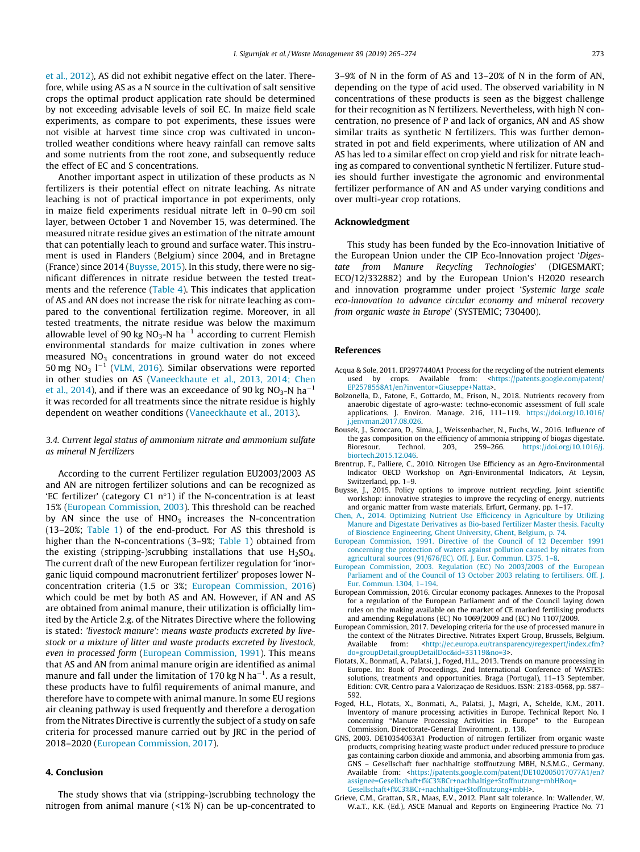<span id="page-8-0"></span>et al., 2012), AS did not exhibit negative effect on the later. Therefore, while using AS as a N source in the cultivation of salt sensitive crops the optimal product application rate should be determined by not exceeding advisable levels of soil EC. In maize field scale experiments, as compare to pot experiments, these issues were not visible at harvest time since crop was cultivated in uncontrolled weather conditions where heavy rainfall can remove salts and some nutrients from the root zone, and subsequently reduce the effect of EC and S concentrations.

Another important aspect in utilization of these products as N fertilizers is their potential effect on nitrate leaching. As nitrate leaching is not of practical importance in pot experiments, only in maize field experiments residual nitrate left in 0–90 cm soil layer, between October 1 and November 15, was determined. The measured nitrate residue gives an estimation of the nitrate amount that can potentially leach to ground and surface water. This instrument is used in Flanders (Belgium) since 2004, and in Bretagne (France) since 2014 (Buysse, 2015). In this study, there were no significant differences in nitrate residue between the tested treatments and the reference [\(Table 4](#page-7-0)). This indicates that application of AS and AN does not increase the risk for nitrate leaching as compared to the conventional fertilization regime. Moreover, in all tested treatments, the nitrate residue was below the maximum allowable level of 90 kg  $NO<sub>3</sub>-N$  ha<sup>-1</sup> according to current Flemish environmental standards for maize cultivation in zones where measured  $NO<sub>3</sub>$  concentrations in ground water do not exceed 50 mg  $NO<sub>3</sub>$  l<sup>-1</sup> [\(VLM, 2016\)](#page-9-0). Similar observations were reported in other studies on AS [\(Vaneeckhaute et al., 2013, 2014; Chen](#page-9-0) [et al., 2014\)](#page-9-0), and if there was an exceedance of 90 kg  $NO<sub>3</sub>$ -N ha<sup>-1</sup> it was recorded for all treatments since the nitrate residue is highly dependent on weather conditions [\(Vaneeckhaute et al., 2013](#page-9-0)).

# 3.4. Current legal status of ammonium nitrate and ammonium sulfate as mineral N fertilizers

According to the current Fertilizer regulation EU2003/2003 AS and AN are nitrogen fertilizer solutions and can be recognized as 'EC fertilizer' (category C1  $n°1$ ) if the N-concentration is at least 15% (European Commission, 2003). This threshold can be reached by AN since the use of  $HNO<sub>3</sub>$  increases the N-concentration (13–20%; [Table 1\)](#page-4-0) of the end-product. For AS this threshold is higher than the N-concentrations (3–9%; [Table 1](#page-4-0)) obtained from the existing (stripping-)scrubbing installations that use  $H<sub>2</sub>SO<sub>4</sub>$ . The current draft of the new European fertilizer regulation for 'inorganic liquid compound macronutrient fertilizer' proposes lower Nconcentration criteria (1.5 or 3%; European Commission, 2016) which could be met by both AS and AN. However, if AN and AS are obtained from animal manure, their utilization is officially limited by the Article 2.g. of the Nitrates Directive where the following is stated: 'livestock manure': means waste products excreted by livestock or a mixture of litter and waste products excreted by livestock, even in processed form (European Commission, 1991). This means that AS and AN from animal manure origin are identified as animal manure and fall under the limitation of 170 kg N ha<sup>-1</sup>. As a result, these products have to fulfil requirements of animal manure, and therefore have to compete with animal manure. In some EU regions air cleaning pathway is used frequently and therefore a derogation from the Nitrates Directive is currently the subject of a study on safe criteria for processed manure carried out by JRC in the period of 2018–2020 (European Commission, 2017).

# 4. Conclusion

The study shows that via (stripping-)scrubbing technology the nitrogen from animal manure (<1% N) can be up-concentrated to 3–9% of N in the form of AS and 13–20% of N in the form of AN, depending on the type of acid used. The observed variability in N concentrations of these products is seen as the biggest challenge for their recognition as N fertilizers. Nevertheless, with high N concentration, no presence of P and lack of organics, AN and AS show similar traits as synthetic N fertilizers. This was further demonstrated in pot and field experiments, where utilization of AN and AS has led to a similar effect on crop yield and risk for nitrate leaching as compared to conventional synthetic N fertilizer. Future studies should further investigate the agronomic and environmental fertilizer performance of AN and AS under varying conditions and over multi-year crop rotations.

# Acknowledgment

This study has been funded by the Eco-innovation Initiative of the European Union under the CIP Eco-Innovation project 'Digestate from Manure Recycling Technologies' (DIGESMART; ECO/12/332882) and by the European Union's H2020 research and innovation programme under project 'Systemic large scale eco-innovation to advance circular economy and mineral recovery from organic waste in Europe' (SYSTEMIC; 730400).

# References

- Acqua & Sole, 2011. EP2977440A1 Process for the recycling of the nutrient elements used by crops. Available from: [<https://patents.google.com/patent/](https://patents.google.com/patent/EP2578558A1/en?inventor=Giuseppe+Natta) [EP2578558A1/en?inventor=Giuseppe+Natta](https://patents.google.com/patent/EP2578558A1/en?inventor=Giuseppe+Natta)>.
- Bolzonella, D., Fatone, F., Gottardo, M., Frison, N., 2018. Nutrients recovery from anaerobic digestate of agro-waste: techno-economic assessment of full scale applications. J. Environ. Manage. 216, 111–119. [https://doi.org/10.1016/](https://doi.org/10.1016/j.jenvman.2017.08.026) [j.jenvman.2017.08.026](https://doi.org/10.1016/j.jenvman.2017.08.026).
- Bousek, J., Scroccaro, D., Sima, J., Weissenbacher, N., Fuchs, W., 2016. Influence of the gas composition on the efficiency of ammonia stripping of biogas digestate. Bioresour. Technol. 203, 259–266. [https://doi.org/10.1016/j.](https://doi.org/10.1016/j.biortech.2015.12.046) [biortech.2015.12.046](https://doi.org/10.1016/j.biortech.2015.12.046).
- Brentrup, F., Palliere, C., 2010. Nitrogen Use Efficiency as an Agro-Environmental Indicator OECD Workshop on Agri-Environmental Indicators, At Leysin, Switzerland, pp. 1–9.
- Buysse, J., 2015. Policy options to improve nutrient recycling. Joint scientific workshop: innovative strategies to improve the recycling of energy, nutrients and organic matter from waste materials, Erfurt, Germany, pp. 1–17.
- [Chen, A., 2014. Optimizing Nutrient Use Efficicency in Agriculture by Utilizing](http://refhub.elsevier.com/S0956-053X(19)30175-8/h0030) [Manure and Digestate Derivatives as Bio-based Fertilizer Master thesis. Faculty](http://refhub.elsevier.com/S0956-053X(19)30175-8/h0030) [of Bioscience Engineering, Ghent University, Ghent, Belgium, p. 74.](http://refhub.elsevier.com/S0956-053X(19)30175-8/h0030)
- [European Commission, 1991. Directive of the Council of 12 December 1991](http://refhub.elsevier.com/S0956-053X(19)30175-8/h0035) [concerning the protection of waters against pollution caused by nitrates from](http://refhub.elsevier.com/S0956-053X(19)30175-8/h0035) [agricultural sources \(91/676/EC\). Off. J. Eur. Commun. L375, 1–8](http://refhub.elsevier.com/S0956-053X(19)30175-8/h0035).
- [European Commission, 2003. Regulation \(EC\) No 2003/2003 of the European](http://refhub.elsevier.com/S0956-053X(19)30175-8/h0040) [Parliament and of the Council of 13 October 2003 relating to fertilisers. Off. J.](http://refhub.elsevier.com/S0956-053X(19)30175-8/h0040) [Eur. Commun. L304, 1–194](http://refhub.elsevier.com/S0956-053X(19)30175-8/h0040).
- European Commission, 2016. Circular economy packages. Annexes to the Proposal for a regulation of the European Parliament and of the Council laying down rules on the making available on the market of CE marked fertilising products and amending Regulations (EC) No 1069/2009 and (EC) No 1107/2009.
- European Commission, 2017. Developing criteria for the use of processed manure in the context of the Nitrates Directive. Nitrates Expert Group, Brussels, Belgium. Available from: <[http://ec.europa.eu/transparency/regexpert/index.cfm?](http://ec.europa.eu/transparency/regexpert/index.cfm?do=groupDetail.groupDetailDoc%26id=33119%26no=3) [do=groupDetail.groupDetailDoc&id=33119&no=3>](http://ec.europa.eu/transparency/regexpert/index.cfm?do=groupDetail.groupDetailDoc%26id=33119%26no=3).
- Flotats, X., Bonmatí, A., Palatsi, J., Foged, H.L., 2013. Trends on manure processing in Europe. In: Book of Proceedings, 2nd International Conference of WASTES: solutions, treatments and opportunities. Braga (Portugal), 11–13 September. Edition: CVR, Centro para a Valorizaçao de Residuos. ISSN: 2183-0568, pp. 587– 592.
- Foged, H.L., Flotats, X., Bonmati, A., Palatsi, J., Magri, A., Schelde, K.M., 2011. Inventory of manure processing activities in Europe. Technical Report No. I concerning ''Manure Processing Activities in Europe" to the European Commission, Directorate-General Environment. p. 138.
- GNS, 2003. DE10354063A1 Production of nitrogen fertilizer from organic waste products, comprising heating waste product under reduced pressure to produce gas containing carbon dioxide and ammonia, and absorbing ammonia from gas. GNS – Gesellschaft fuer nachhaltige stoffnutzung MBH, N.S.M.G., Germany. Available from: [<https://patents.google.com/patent/DE102005017077A1/en?](https://patents.google.com/patent/DE102005017077A1/en?assignee=Gesellschaft+f%C3%BCr+nachhaltige+Stoffnutzung+mbH%26oq=Gesellschaft+f%C3%BCr+nachhaltige+Stoffnutzung+mbH) [assignee=Gesellschaft+f%C3%BCr+nachhaltige+Stoffnutzung+mbH&oq=](https://patents.google.com/patent/DE102005017077A1/en?assignee=Gesellschaft+f%C3%BCr+nachhaltige+Stoffnutzung+mbH%26oq=Gesellschaft+f%C3%BCr+nachhaltige+Stoffnutzung+mbH) [Gesellschaft+f%C3%BCr+nachhaltige+Stoffnutzung+mbH>](https://patents.google.com/patent/DE102005017077A1/en?assignee=Gesellschaft+f%C3%BCr+nachhaltige+Stoffnutzung+mbH%26oq=Gesellschaft+f%C3%BCr+nachhaltige+Stoffnutzung+mbH).
- Grieve, C.M., Grattan, S.R., Maas, E.V., 2012. Plant salt tolerance. In: Wallender, W. W.a.T., K.K. (Ed.), ASCE Manual and Reports on Engineering Practice No. 71